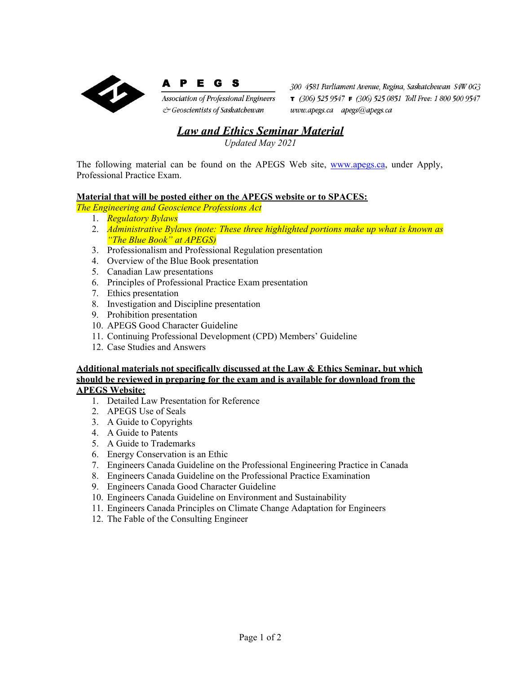



Association of Professional Engineers & Geoscientists of Saskatchewan

300 4581 Parliament Avenue, Regina, Saskatchewan S4W 0G3  $\tau$  (306) 525 9547  $\tau$  (306) 525 0851 Toll Free: 1 800 500 9547  $www. apegs. ca - apegs@ apegs. ca$ 

## *Law and Ethics Seminar Material*

*Updated May 2021*

The following material can be found on the APEGS Web site, [www.apegs.ca,](http://www.apegs.ca/) under Apply, Professional Practice Exam.

## **Material that will be posted either on the APEGS website or to SPACES:**

*The Engineering and Geoscience Professions Act*

- 1. *Regulatory Bylaws*
- 2. *Administrative Bylaws (note: These three highlighted portions make up what is known as "The Blue Book" at APEGS)*
- 3. Professionalism and Professional Regulation presentation
- 4. Overview of the Blue Book presentation
- 5. Canadian Law presentations
- 6. Principles of Professional Practice Exam presentation
- 7. Ethics presentation
- 8. Investigation and Discipline presentation
- 9. Prohibition presentation
- 10. APEGS Good Character Guideline
- 11. Continuing Professional Development (CPD) Members' Guideline
- 12. Case Studies and Answers

## **Additional materials not specifically discussed at the Law & Ethics Seminar, but which should be reviewed in preparing for the exam and is available for download from the APEGS Website:**

- 1. Detailed Law Presentation for Reference
- 2. APEGS Use of Seals
- 3. A Guide to Copyrights
- 4. A Guide to Patents
- 5. A Guide to Trademarks
- 6. Energy Conservation is an Ethic
- 7. Engineers Canada Guideline on the Professional Engineering Practice in Canada
- 8. Engineers Canada Guideline on the Professional Practice Examination
- 9. Engineers Canada Good Character Guideline
- 10. Engineers Canada Guideline on Environment and Sustainability
- 11. Engineers Canada Principles on Climate Change Adaptation for Engineers
- 12. The Fable of the Consulting Engineer